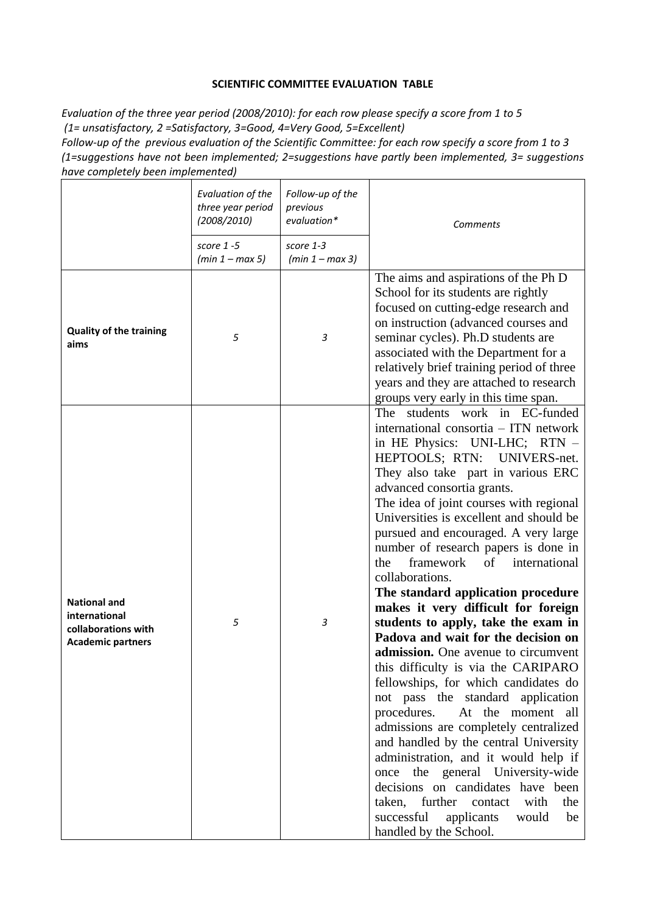## **SCIENTIFIC COMMITTEE EVALUATION TABLE**

*Evaluation of the three year period (2008/2010): for each row please specify a score from 1 to 5 (1= unsatisfactory, 2 =Satisfactory, 3=Good, 4=Very Good, 5=Excellent)*

*Follow-up of the previous evaluation of the Scientific Committee: for each row specify a score from 1 to 3 (1=suggestions have not been implemented; 2=suggestions have partly been implemented, 3= suggestions have completely been implemented)*

|                                                                                         | Evaluation of the<br>three year period<br>(2008/2010)<br>score $1 - 5$<br>$(min 1 - max 5)$ | Follow-up of the<br>previous<br>evaluation*<br>score 1-3<br>$(min 1 - max 3)$ | Comments                                                                                                                                                                                                                                                                                                                                                                                                                                                                                                                                                                                                                                                                                                                                                                                                                                                                                                                                                                                                                                                                                                                            |
|-----------------------------------------------------------------------------------------|---------------------------------------------------------------------------------------------|-------------------------------------------------------------------------------|-------------------------------------------------------------------------------------------------------------------------------------------------------------------------------------------------------------------------------------------------------------------------------------------------------------------------------------------------------------------------------------------------------------------------------------------------------------------------------------------------------------------------------------------------------------------------------------------------------------------------------------------------------------------------------------------------------------------------------------------------------------------------------------------------------------------------------------------------------------------------------------------------------------------------------------------------------------------------------------------------------------------------------------------------------------------------------------------------------------------------------------|
| <b>Quality of the training</b><br>aims                                                  | 5                                                                                           | 3                                                                             | The aims and aspirations of the Ph D<br>School for its students are rightly<br>focused on cutting-edge research and<br>on instruction (advanced courses and<br>seminar cycles). Ph.D students are<br>associated with the Department for a<br>relatively brief training period of three<br>years and they are attached to research<br>groups very early in this time span.                                                                                                                                                                                                                                                                                                                                                                                                                                                                                                                                                                                                                                                                                                                                                           |
| <b>National and</b><br>international<br>collaborations with<br><b>Academic partners</b> | 5                                                                                           | 3                                                                             | The students work in EC-funded<br>international consortia - ITN network<br>in HE Physics: UNI-LHC; RTN -<br>HEPTOOLS; RTN: UNIVERS-net.<br>They also take part in various ERC<br>advanced consortia grants.<br>The idea of joint courses with regional<br>Universities is excellent and should be<br>pursued and encouraged. A very large<br>number of research papers is done in<br>framework<br>of<br>international<br>the<br>collaborations.<br>The standard application procedure<br>makes it very difficult for foreign<br>students to apply, take the exam in<br>Padova and wait for the decision on<br>admission. One avenue to circumvent<br>this difficulty is via the CARIPARO<br>fellowships, for which candidates do<br>not pass the standard application<br>procedures.<br>At the moment all<br>admissions are completely centralized<br>and handled by the central University<br>administration, and it would help if<br>the general University-wide<br>once<br>decisions on candidates have been<br>further<br>taken,<br>with<br>contact<br>the<br>successful<br>applicants<br>would<br>be<br>handled by the School. |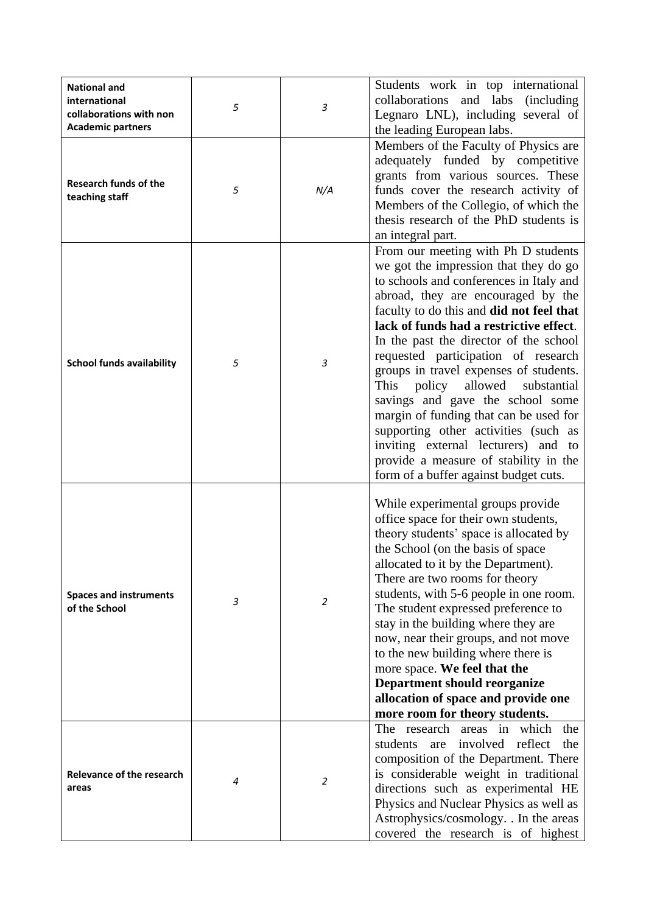| <b>National and</b><br>international<br>collaborations with non<br><b>Academic partners</b> | 5 | 3   | Students work in top international<br>collaborations and labs (including<br>Legnaro LNL), including several of<br>the leading European labs.                                                                                                                                                                                                                                                                                                                                                                                                                                                                                                                               |
|---------------------------------------------------------------------------------------------|---|-----|----------------------------------------------------------------------------------------------------------------------------------------------------------------------------------------------------------------------------------------------------------------------------------------------------------------------------------------------------------------------------------------------------------------------------------------------------------------------------------------------------------------------------------------------------------------------------------------------------------------------------------------------------------------------------|
| <b>Research funds of the</b><br>teaching staff                                              | 5 | N/A | Members of the Faculty of Physics are<br>adequately funded by competitive<br>grants from various sources. These<br>funds cover the research activity of<br>Members of the Collegio, of which the<br>thesis research of the PhD students is<br>an integral part.                                                                                                                                                                                                                                                                                                                                                                                                            |
| <b>School funds availability</b>                                                            | 5 | 3   | From our meeting with Ph D students<br>we got the impression that they do go<br>to schools and conferences in Italy and<br>abroad, they are encouraged by the<br>faculty to do this and did not feel that<br>lack of funds had a restrictive effect.<br>In the past the director of the school<br>requested participation of research<br>groups in travel expenses of students.<br>This<br>policy<br>allowed<br>substantial<br>savings and gave the school some<br>margin of funding that can be used for<br>supporting other activities (such as<br>inviting external lecturers) and to<br>provide a measure of stability in the<br>form of a buffer against budget cuts. |
| <b>Spaces and instruments</b><br>of the School                                              | 3 | 2   | While experimental groups provide<br>office space for their own students,<br>theory students' space is allocated by<br>the School (on the basis of space)<br>allocated to it by the Department).<br>There are two rooms for theory<br>students, with 5-6 people in one room.<br>The student expressed preference to<br>stay in the building where they are<br>now, near their groups, and not move<br>to the new building where there is<br>more space. We feel that the<br><b>Department should reorganize</b><br>allocation of space and provide one<br>more room for theory students.                                                                                   |
| <b>Relevance of the research</b><br>areas                                                   | 4 | 2   | The research areas in which<br>the<br>involved reflect<br>the<br>students<br>are<br>composition of the Department. There<br>is considerable weight in traditional<br>directions such as experimental HE<br>Physics and Nuclear Physics as well as<br>Astrophysics/cosmology. . In the areas<br>covered the research is of highest                                                                                                                                                                                                                                                                                                                                          |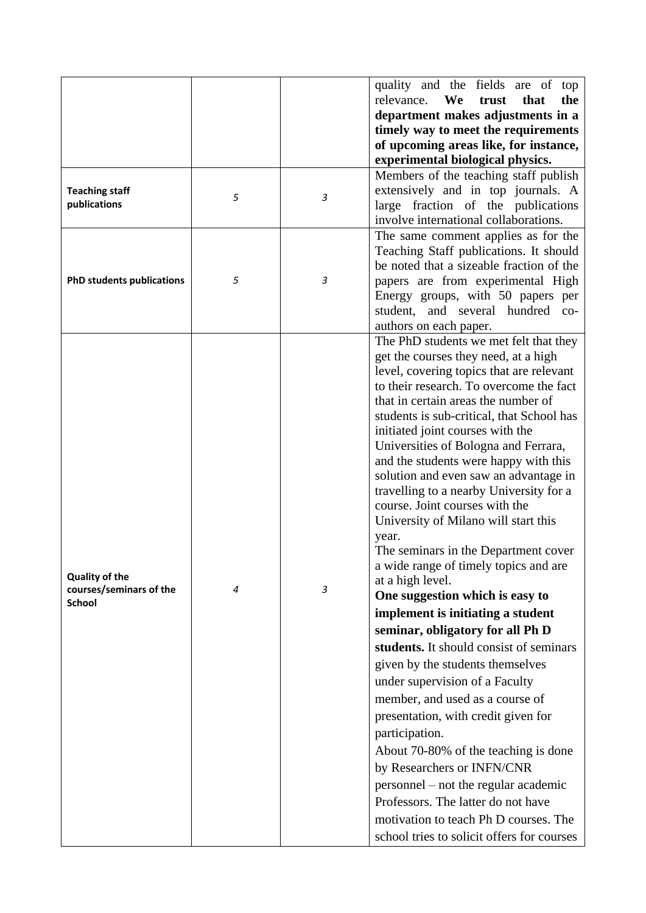|                                                  |   |   | quality and the fields are of top          |
|--------------------------------------------------|---|---|--------------------------------------------|
|                                                  |   |   | We<br>relevance.<br>that<br>the<br>trust   |
|                                                  |   |   | department makes adjustments in a          |
|                                                  |   |   | timely way to meet the requirements        |
|                                                  |   |   | of upcoming areas like, for instance,      |
|                                                  |   |   | experimental biological physics.           |
|                                                  |   |   | Members of the teaching staff publish      |
| <b>Teaching staff</b>                            |   |   | extensively and in top journals. A         |
| publications                                     | 5 | 3 | large fraction of the publications         |
|                                                  |   |   | involve international collaborations.      |
|                                                  |   |   | The same comment applies as for the        |
|                                                  |   |   | Teaching Staff publications. It should     |
|                                                  |   |   | be noted that a sizeable fraction of the   |
| <b>PhD students publications</b>                 | 5 | 3 | papers are from experimental High          |
|                                                  |   |   | Energy groups, with 50 papers per          |
|                                                  |   |   | and several hundred co-<br>student.        |
|                                                  |   |   | authors on each paper.                     |
|                                                  |   |   | The PhD students we met felt that they     |
|                                                  |   |   | get the courses they need, at a high       |
|                                                  |   |   | level, covering topics that are relevant   |
|                                                  |   |   | to their research. To overcome the fact    |
|                                                  |   |   | that in certain areas the number of        |
|                                                  |   |   | students is sub-critical, that School has  |
|                                                  |   |   | initiated joint courses with the           |
|                                                  |   |   | Universities of Bologna and Ferrara,       |
|                                                  |   |   | and the students were happy with this      |
|                                                  |   |   | solution and even saw an advantage in      |
|                                                  |   |   | travelling to a nearby University for a    |
|                                                  |   |   | course. Joint courses with the             |
|                                                  |   |   | University of Milano will start this       |
|                                                  |   |   | year.                                      |
|                                                  |   |   | The seminars in the Department cover       |
|                                                  | 4 |   | a wide range of timely topics and are      |
| <b>Quality of the</b><br>courses/seminars of the |   | 3 | at a high level.                           |
|                                                  |   |   | One suggestion which is easy to            |
| <b>School</b>                                    |   |   | implement is initiating a student          |
|                                                  |   |   | seminar, obligatory for all Ph D           |
|                                                  |   |   | students. It should consist of seminars    |
|                                                  |   |   |                                            |
|                                                  |   |   | given by the students themselves           |
|                                                  |   |   | under supervision of a Faculty             |
|                                                  |   |   | member, and used as a course of            |
|                                                  |   |   | presentation, with credit given for        |
|                                                  |   |   | participation.                             |
|                                                  |   |   | About 70-80% of the teaching is done       |
|                                                  |   |   | by Researchers or INFN/CNR                 |
|                                                  |   |   | personnel – not the regular academic       |
|                                                  |   |   | Professors. The latter do not have         |
|                                                  |   |   |                                            |
|                                                  |   |   | motivation to teach Ph D courses. The      |
|                                                  |   |   | school tries to solicit offers for courses |